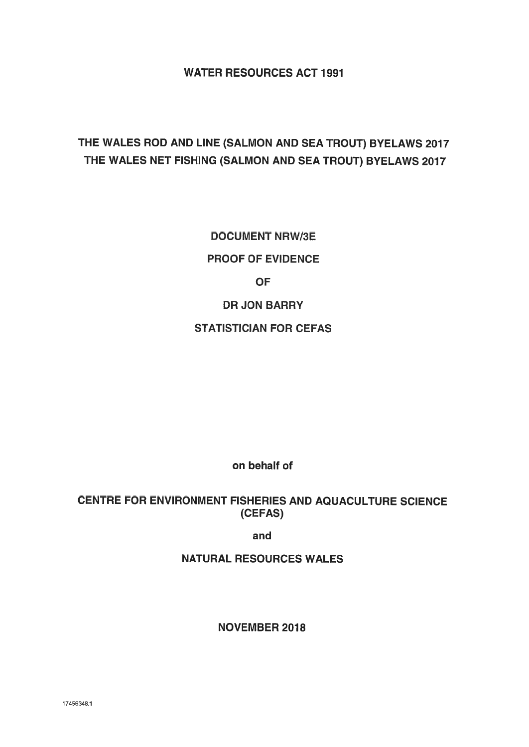## WATER RESOURCES ACT 1991

## THE WALES ROD AND LINE (SALMON AND SEA TROUT) BYELAWS 2017 THE WALES NET FISHING (SALMON AND SEA TROUT) BYELAWS 2017

DOCUMENT NRW/3E PROOF OF EVIDENCE OF DR JON BARRY STATISTICIAN FOR CEFAS

on behalf of

CENTRE FOR ENVIRONMENT FISHERIES AND AQUACULTURE SCIENCE (CEFAS)

and

NATURAL RESOURCES WALES

NOVEMBER 2018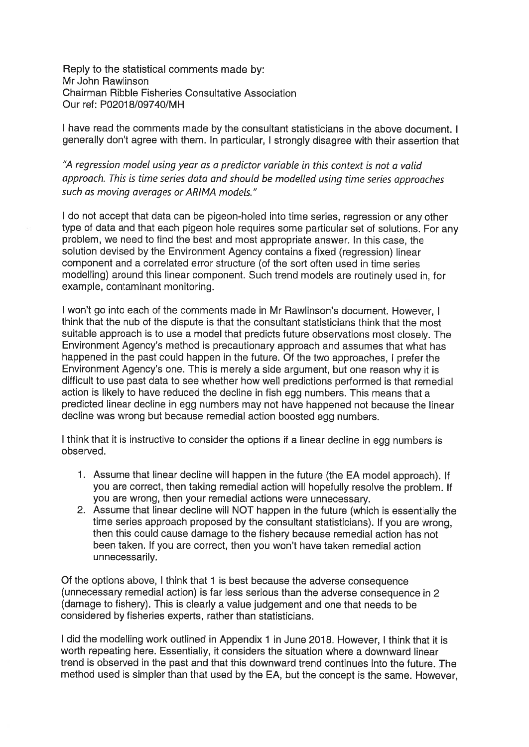Reply to the statistical comments made by: Mr John Rawlinson Chairman Ribble Fisheries Consultative Association Our ref: P02018/09740/MH

I have read the comments made by the consultant statisticians in the above document. I generally don't agree with them. In particular, <sup>I</sup> strongly disagree with their assertion that

"A regression model using year as <sup>a</sup> predictor variable in this context is not <sup>a</sup> valid approach. This is time series data and should be modelled using time series approaches such as moving averages or ARIMA models."

<sup>I</sup> do not accep<sup>t</sup> that data can be <sup>p</sup>igeon-holed into time series, regression or any other type of data and that each <sup>p</sup>igeon hole requires some particular set of solutions. For any problem, we need to find the best and most appropriate answer. In this case, the solution devised by the Environment Agency contains <sup>a</sup> tixed (regression) linear componen<sup>t</sup> and <sup>a</sup> correlated error structure (of the sort often used in time series modelling) around this linear component. Such trend models are routinely used in, for example, contaminant monitoring.

I won't go into each of the comments made in Mr Rawlinson's document. However, I think that the nub of the dispute is that the consultant statisticians think that the most suitable approac<sup>h</sup> is to use <sup>a</sup> model that predicts future observations most closely. The Environment Agency's method is precautionary approach and assumes that what has happened in the pas<sup>t</sup> could happen in the future. Of the two approaches, <sup>I</sup> prefer the Environment Agency's one. This is merely <sup>a</sup> side argument, but one reason why it is difficult to use pas<sup>t</sup> data to see whether how well predictions pertormed is that remedial action is likely to have reduced the decline in fish egg numbers. This means that <sup>a</sup> predicted linear decline in egg numbers may not have happened not because the linear decline was wrong but because remedial action boosted egg numbers.

<sup>I</sup> think that it is instructive to consider the options if <sup>a</sup> linear decline in egg numbers is observed.

- 1. Assume that linear decline will happen in the future (the EA model approach). If you are correct, then taking remedial action will hopefully resolve the problem. If you are wrong, then your remedial actions were unnecessary.
- 2. Assume that linear decline will NOT happen in the future (which is essentially the time series approac<sup>h</sup> propose<sup>d</sup> by the consultant statisticians). If you are wrong, then this could cause damage to the fishery because remedial action has not been taken. If you are correct, then you won't have taken remedial action unnecessarily.

Of the options above, <sup>I</sup> think that <sup>1</sup> is best because the adverse consequence (unnecessary remedial action) is far less serious than the adverse consequence in <sup>2</sup> (damage to fishery). This is clearly <sup>a</sup> value judgement and one that needs to be considered by fisheries experts, rather than statisticians.

I did the modelling work outlined in Appendix 1 in June 2018. However, I think that it is worth repeating here. Essentially, it considers the situation where <sup>a</sup> downward linear trend is observed in the pas<sup>t</sup> and that this downward trend continues into the future. The method used is simpler than that used by the EA, but the concep<sup>t</sup> is the same. However,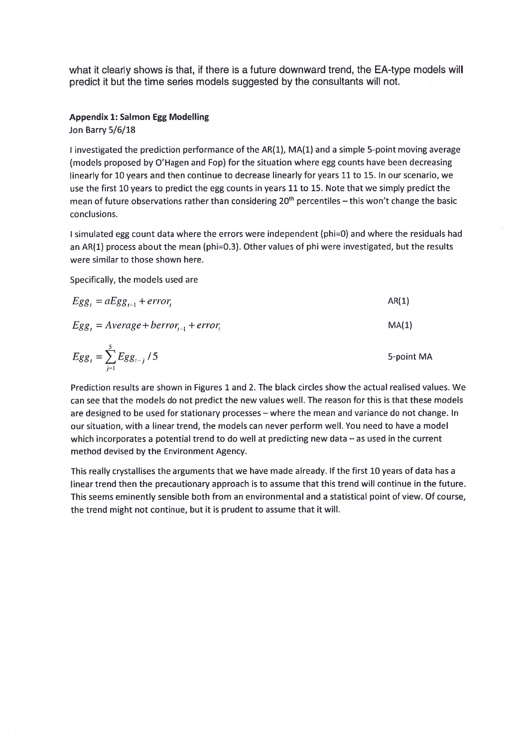what it clearly shows is that, if there is <sup>a</sup> future downward trend, the EA-type models will predict it but the time series models suggested by the consultants will not.

## Appendix 1: Salmon Egg Modelling

Jon Barry 5/6/18

I investigated the prediction performance of the  $AR(1)$ ,  $MA(1)$  and a simple 5-point moving average (models proposed by O'Hagen and Fop) for the situation where egg counts have been decreasing linearly for 10 years and then continue to decrease linearly for years 11 to 15. In our scenario, we use the first 10 years to predict the egg counts in years 11 to 15. Note that we simply predict the mean of future observations rather than considering 20<sup>th</sup> percentiles – this won't change the basic conclusions.

 simulated egg count data where the errors were independent (phi=0) and where the residuals had an AR(1) process about the mean (phi=0.3). Other values of phi were investigated, but the results were similar to those shown here.

Specifically, the models used are

$$
Egg_t = aEgg_{t-1} + error_t
$$
 AR(1)  
\n
$$
Egg_t = Average + berror_{t-1} + error_t
$$
 MA(1)

$$
Egg_t = \sum_{j=1}^{5} Egg_{t-j} / 5
$$
 5-point MA

Prediction results are shown in Figures 1 and 2. The black circles show the actual realised values. We can see that the models do not predict the new values well. The reason for this is that these models are designed to be used for stationary processes — where the mean and variance do not change. In our situation, with <sup>a</sup> linear trend, the models can never perform well. You need to have <sup>a</sup> model which incorporates <sup>a</sup> potential trend to do well at predicting new data — as used in the current method devised by the Environment Agency.

This really crystallises the arguments that we have made already. If the first <sup>10</sup> years of data has <sup>a</sup> linear trend then the precautionary approach is to assume that this trend will continue in the future. This seems eminently sensible both from an environmental and <sup>a</sup> statistical point of view. Of course, the trend might not continue, but it is prudent to assume that it will.